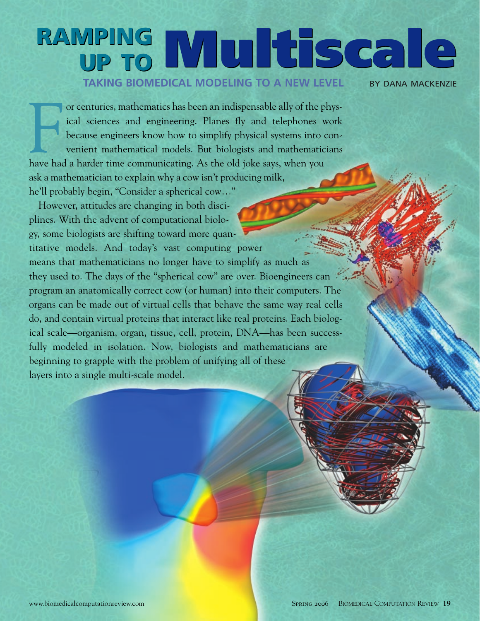# **RAMPING UP TO Multiscale RAMPING UP TO Multiscale TAKING BIOMEDICAL MODELING TO A NEW LEVEL BY DANA MACKENZIE**

or centuries, mathematics has been an indispensable ally of the p<br>ical sciences and engineering. Planes fly and telephones<br>because engineers know how to simplify physical systems into<br>venient mathematical models. But biolo or centuries, mathematics has been an indispensable ally of the physical sciences and engineering. Planes fly and telephones work because engineers know how to simplify physical systems into convenient mathematical models. But biologists and mathematicians ask a mathematician to explain why a cow isn't producing milk, he'll probably begin, "Consider a spherical cow…"

However, attitudes are changing in both disciplines. With the advent of computational biology, some biologists are shifting toward more quantitative models. And today's vast computing power means that mathematicians no longer have to simplify as much as they used to. The days of the "spherical cow" are over. Bioengineers can program an anatomically correct cow (or human) into their computers. The organs can be made out of virtual cells that behave the same way real cells do, and contain virtual proteins that interact like real proteins. Each biological scale—organism, organ, tissue, cell, protein, DNA—has been successfully modeled in isolation. Now, biologists and mathematicians are beginning to grapple with the problem of unifying all of these layers into a single multi-scale model.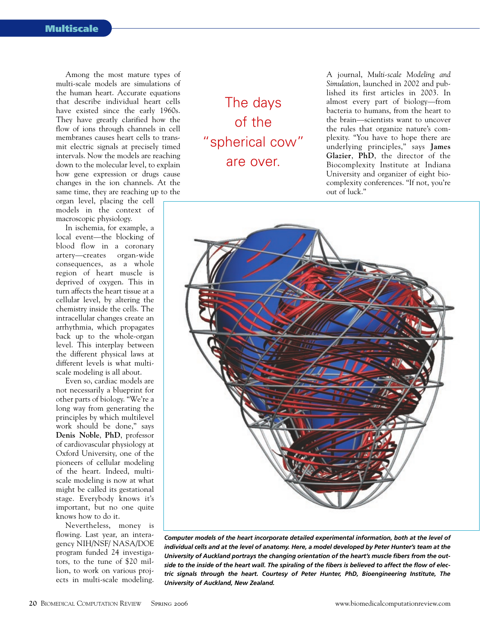Among the most mature types of multi-scale models are simulations of the human heart. Accurate equations that describe individual heart cells have existed since the early 1960s. They have greatly clarified how the flow of ions through channels in cell membranes causes heart cells to transmit electric signals at precisely timed intervals. Now the models are reaching down to the molecular level, to explain how gene expression or drugs cause changes in the ion channels. At the same time, they are reaching up to the

organ level, placing the cell models in the context of macroscopic physiology.

In ischemia, for example, a local event—the blocking of blood flow in a coronary artery—creates organ-wide consequences, as a whole region of heart muscle is deprived of oxygen. This in turn affects the heart tissue at a cellular level, by altering the chemistry inside the cells. The intracellular changes create an arrhythmia, which propagates back up to the whole-organ level. This interplay between the different physical laws at different levels is what multiscale modeling is all about.

Even so, cardiac models are not necessarily a blueprint for other parts of biology. "We're a long way from generating the principles by which multilevel work should be done," says **Denis Noble**, **PhD**, professor of cardiovascular physiology at Oxford University, one of the pioneers of cellular modeling of the heart. Indeed, multiscale modeling is now at what might be called its gestational stage. Everybody knows it's important, but no one quite knows how to do it.

Nevertheless, money is flowing. Last year, an interagency NIH/NSF/ NASA/DOE program funded 24 investigators, to the tune of \$20 million, to work on various projects in multi-scale modeling.

The days of the "spherical cow" are over.

A journal, *Multi-scale Modeling and Simulation*, launched in 2002 and published its first articles in 2003. In almost every part of biology—from bacteria to humans, from the heart to the brain—scientists want to uncover the rules that organize nature's complexity. "You have to hope there are underlying principles," says **James Glazier**, **PhD**, the director of the Biocomplexity Institute at Indiana University and organizer of eight biocomplexity conferences. "If not, you're out of luck."



*Computer models of the heart incorporate detailed experimental information, both at the level of individual cells and at the level of anatomy. Here, a model developed by Peter Hunter's team at the University of Auckland portrays the changing orientation of the heart's muscle fibers from the outside to the inside of the heart wall. The spiraling of the fibers is believed to affect the flow of electric signals through the heart. Courtesy of Peter Hunter, PhD, Bioengineering Institute, The University of Auckland, New Zealand.*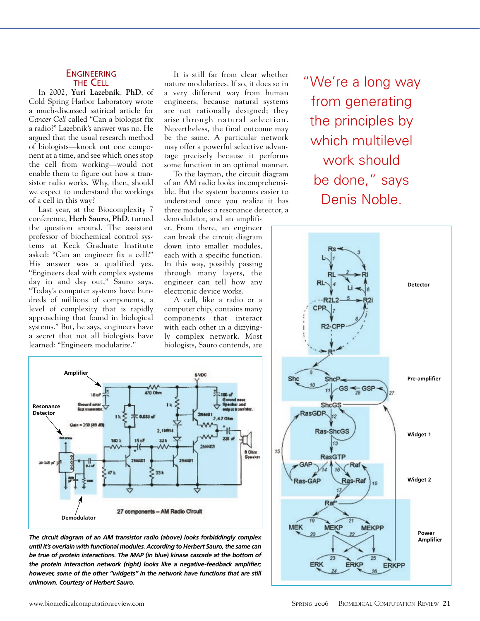#### **ENGINEERING** THE CELL

In 2002, **Yuri Lazebnik**, **PhD**, of Cold Spring Harbor Laboratory wrote a much-discussed satirical article for *Cancer Cell* called "Can a biologist fix a radio?" Lazebnik's answer was no. He argued that the usual research method of biologists—knock out one component at a time, and see which ones stop the cell from working—would not enable them to figure out how a transistor radio works. Why, then, should we expect to understand the workings of a cell in this way?

Last year, at the Biocomplexity 7 conference, **Herb Sauro**, **PhD**, turned the question around. The assistant professor of biochemical control systems at Keck Graduate Institute asked: "Can an engineer fix a cell?" His answer was a qualified yes. "Engineers deal with complex systems day in and day out," Sauro says. "Today's computer systems have hundreds of millions of components, a level of complexity that is rapidly approaching that found in biological systems." But, he says, engineers have a secret that not all biologists have learned: "Engineers modularize."

It is still far from clear whether nature modularizes. If so, it does so in a very different way from human engineers, because natural systems are not rationally designed; they arise through natural selection. Nevertheless, the final outcome may be the same. A particular network may offer a powerful selective advantage precisely because it performs some function in an optimal manner.

To the layman, the circuit diagram of an AM radio looks incomprehensible. But the system becomes easier to understand once you realize it has three modules: a resonance detector, a

demodulator, and an amplifier. From there, an engineer can break the circuit diagram down into smaller modules, each with a specific function. In this way, possibly passing through many layers, the engineer can tell how any electronic device works.

A cell, like a radio or a computer chip, contains many components that interact with each other in a dizzyingly complex network. Most biologists, Sauro contends, are

"We're a long way from generating the principles by which multilevel work should be done," says Denis Noble.





*The circuit diagram of an AM transistor radio (above) looks forbiddingly complex until it's overlain with functional modules. According to Herbert Sauro, the same can be true of protein interactions. The MAP (in blue) kinase cascade at the bottom of the protein interaction network (right) looks like a negative-feedback amplifier; however, some of the other "widgets" in the network have functions that are still unknown. Courtesy of Herbert Sauro.*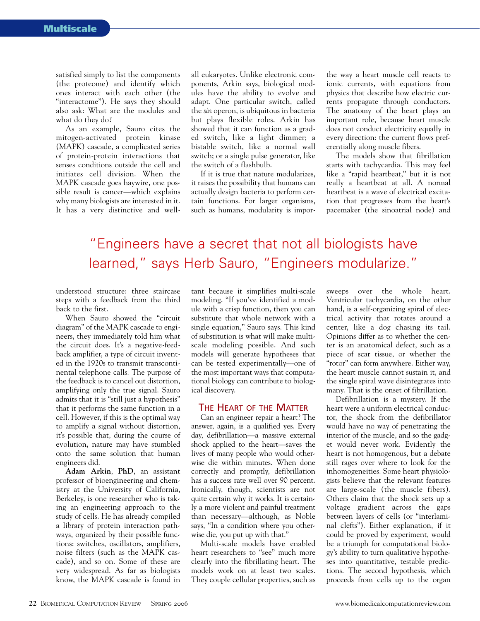satisfied simply to list the components (the proteome) and identify which ones interact with each other (the "interactome"). He says they should also ask: What are the modules and what do they do?

As an example, Sauro cites the mitogen-activated protein kinase (MAPK) cascade, a complicated series of protein-protein interactions that senses conditions outside the cell and initiates cell division. When the MAPK cascade goes haywire, one possible result is cancer—which explains why many biologists are interested in it. It has a very distinctive and wellall eukaryotes. Unlike electronic components, Arkin says, biological modules have the ability to evolve and adapt. One particular switch, called the *sin* operon, is ubiquitous in bacteria but plays flexible roles. Arkin has showed that it can function as a graded switch, like a light dimmer; a bistable switch, like a normal wall switch; or a single pulse generator, like the switch of a flashbulb.

If it is true that nature modularizes, it raises the possibility that humans can actually design bacteria to perform certain functions. For larger organisms, such as humans, modularity is importhe way a heart muscle cell reacts to ionic currents, with equations from physics that describe how electric currents propagate through conductors. The anatomy of the heart plays an important role, because heart muscle does not conduct electricity equally in every direction: the current flows preferentially along muscle fibers.

The models show that fibrillation starts with tachycardia. This may feel like a "rapid heartbeat," but it is not really a heartbeat at all. A normal heartbeat is a wave of electrical excitation that progresses from the heart's pacemaker (the sinoatrial node) and

## "Engineers have a secret that not all biologists have learned," says Herb Sauro, "Engineers modularize."

understood structure: three staircase steps with a feedback from the third back to the first.

When Sauro showed the "circuit diagram" of the MAPK cascade to engineers, they immediately told him what the circuit does. It's a negative-feedback amplifier, a type of circuit invented in the 1920s to transmit transcontinental telephone calls. The purpose of the feedback is to cancel out distortion, amplifying only the true signal. Sauro admits that it is "still just a hypothesis" that it performs the same function in a cell. However, if this is the optimal way to amplify a signal without distortion, it's possible that, during the course of evolution, nature may have stumbled onto the same solution that human engineers did.

**Adam Arkin**, **PhD**, an assistant professor of bioengineering and chemistry at the University of California, Berkeley, is one researcher who is taking an engineering approach to the study of cells. He has already compiled a library of protein interaction pathways, organized by their possible functions: switches, oscillators, amplifiers, noise filters (such as the MAPK cascade), and so on. Some of these are very widespread. As far as biologists know, the MAPK cascade is found in

tant because it simplifies multi-scale modeling. "If you've identified a module with a crisp function, then you can substitute that whole network with a single equation," Sauro says. This kind of substitution is what will make multiscale modeling possible. And such models will generate hypotheses that can be tested experimentally—one of the most important ways that computational biology can contribute to biological discovery.

#### THE HEART OF THE MATTER

Can an engineer repair a heart? The answer, again, is a qualified yes. Every day, defibrillation—a massive external shock applied to the heart—saves the lives of many people who would otherwise die within minutes. When done correctly and promptly, defibrillation has a success rate well over 90 percent. Ironically, though, scientists are not quite certain why it works. It is certainly a more violent and painful treatment than necessary—although, as Noble says, "In a condition where you otherwise die, you put up with that."

Multi-scale models have enabled heart researchers to "see" much more clearly into the fibrillating heart. The models work on at least two scales. They couple cellular properties, such as

sweeps over the whole heart. Ventricular tachycardia, on the other hand, is a self-organizing spiral of electrical activity that rotates around a center, like a dog chasing its tail. Opinions differ as to whether the center is an anatomical defect, such as a piece of scar tissue, or whether the "rotor" can form anywhere. Either way, the heart muscle cannot sustain it, and the single spiral wave disintegrates into many. That is the onset of fibrillation.

Defibrillation is a mystery. If the heart were a uniform electrical conductor, the shock from the defibrillator would have no way of penetrating the interior of the muscle, and so the gadget would never work. Evidently the heart is not homogenous, but a debate still rages over where to look for the inhomogeneities. Some heart physiologists believe that the relevant features are large-scale (the muscle fibers). Others claim that the shock sets up a voltage gradient across the gaps between layers of cells (or "interlaminal clefts"). Either explanation, if it could be proved by experiment, would be a triumph for computational biology's ability to turn qualitative hypotheses into quantitative, testable predictions. The second hypothesis, which proceeds from cells up to the organ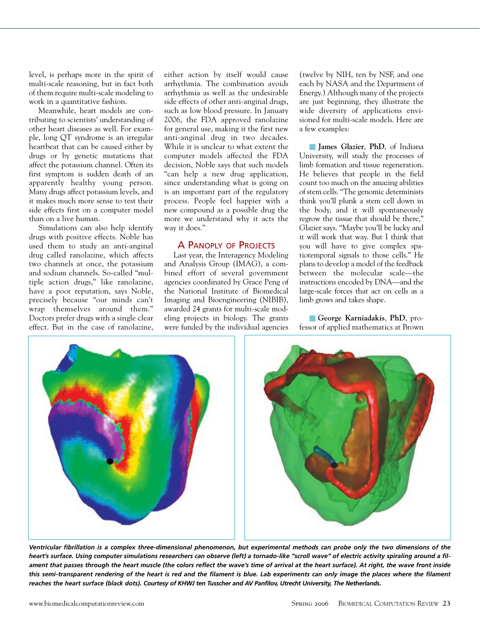level, is perhaps more in the spirit of multi-scale reasoning, but in fact both of them require multi-scale modeling to work in a quantitative fashion.

Meanwhile, heart models are contributing to scientists' understanding of other heart diseases as well. For example, long QT syndrome is an irregular heartbeat that can be caused either by drugs or by genetic mutations that affect the potassium channel. Often its first symptom is sudden death of an apparently healthy young person. Many drugs affect potassium levels, and it makes much more sense to test their side effects first on a computer model than on a live human.

Simulations can also help identify drugs with positive effects. Noble has used them to study an anti-anginal drug called ranolazine, which affects two channels at once, the potassium and sodium channels. So-called "multiple action drugs," like ranolazine, have a poor reputation, says Noble, precisely because "our minds can't wrap themselves around them." Doctors prefer drugs with a single clear effect. But in the case of ranolazine, either action by itself would cause arrhythmia. The combination avoids arrhythmia as well as the undesirable side effects of other anti-anginal drugs, such as low blood pressure. In January 2006, the FDA approved ranolazine for general use, making it the first new anti-anginal drug in two decades. While it is unclear to what extent the computer models affected the FDA decision, Noble says that such models "can help a new drug application, since understanding what is going on is an important part of the regulatory process. People feel happier with a new compound as a possible drug the more we understand why it acts the way it does."

### A PANOPLY OF PROJECTS

Last year, the Interagency Modeling and Analysis Group (IMAG), a combined effort of several government agencies coordinated by Grace Peng of the National Institute of Biomedical Imaging and Bioengineering (NIBIB), awarded 24 grants for multi-scale modeling projects in biology. The grants were funded by the individual agencies

(twelve by NIH, ten by NSF, and one each by NASA and the Department of Energy.) Although many of the projects are just beginning, they illustrate the wide diversity of applications envisioned for multi-scale models. Here are a few examples:

■ **James Glazier**, **PhD**, of Indiana University, will study the processes of limb formation and tissue regeneration. He believes that people in the field count too much on the amazing abilities of stem cells. "The genomic determinists think you'll plunk a stem cell down in the body, and it will spontaneously regrow the tissue that should be there," Glazier says. "Maybe you'll be lucky and it will work that way. But I think that you will have to give complex spatiotemporal signals to those cells." He plans to develop a model of the feedback between the molecular scale—the instructions encoded by DNA—and the large-scale forces that act on cells as a limb grows and takes shape.

■ **George Karniadakis**, **PhD**, professor of applied mathematics at Brown



*Ventricular fibrillation is a complex three-dimensional phenomenon, but experimental methods can probe only the two dimensions of the heart's surface. Using computer simulations researchers can observe (left) a tornado-like "scroll wave" of electric activity spiraling around a filament that passes through the heart muscle (the colors reflect the wave's time of arrival at the heart surface). At right, the wave front inside this semi-transparent rendering of the heart is red and the filament is blue. Lab experiments can only image the places where the filament reaches the heart surface (black dots). Courtesy of KHWJ ten Tusscher and AV Panfilov, Utrecht University, The Netherlands.*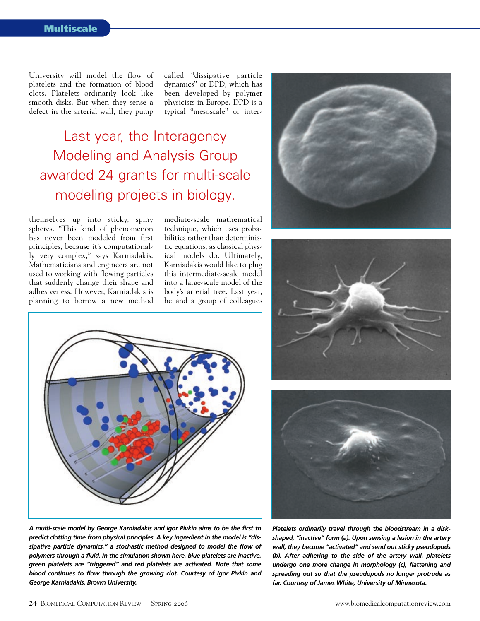University will model the flow of platelets and the formation of blood clots. Platelets ordinarily look like smooth disks. But when they sense a defect in the arterial wall, they pump

called "dissipative particle dynamics" or DPD, which has been developed by polymer physicists in Europe. DPD is a typical "mesoscale" or inter-

Last year, the Interagency Modeling and Analysis Group awarded 24 grants for multi-scale modeling projects in biology.

themselves up into sticky, spiny spheres. "This kind of phenomenon has never been modeled from first principles, because it's computationally very complex," says Karniadakis. Mathematicians and engineers are not used to working with flowing particles that suddenly change their shape and adhesiveness. However, Karniadakis is planning to borrow a new method mediate-scale mathematical technique, which uses probabilities rather than deterministic equations, as classical physical models do. Ultimately, Karniadakis would like to plug this intermediate-scale model into a large-scale model of the body's arterial tree. Last year, he and a group of colleagues







*A multi-scale model by George Karniadakis and Igor Pivkin aims to be the first to predict clotting time from physical principles. A key ingredient in the model is "dissipative particle dynamics," a stochastic method designed to model the flow of polymers through a fluid. In the simulation shown here, blue platelets are inactive, green platelets are "triggered" and red platelets are activated. Note that some blood continues to flow through the growing clot. Courtesy of Igor Pivkin and George Karniadakis, Brown University.*



*Platelets ordinarily travel through the bloodstream in a diskshaped, "inactive" form (a). Upon sensing a lesion in the artery wall, they become "activated" and send out sticky pseudopods (b). After adhering to the side of the artery wall, platelets undergo one more change in morphology (c), flattening and spreading out so that the pseudopods no longer protrude as far. Courtesy of James White, University of Minnesota.*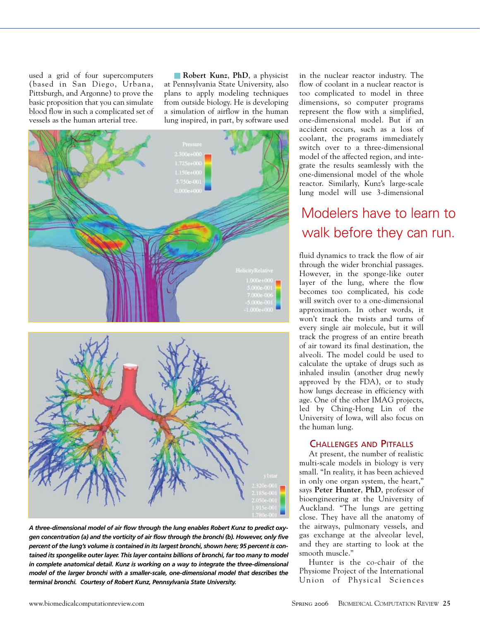used a grid of four supercomputers (based in San Diego, Urbana, Pittsburgh, and Argonne) to prove the basic proposition that you can simulate blood flow in such a complicated set of vessels as the human arterial tree.

■ **Robert Kunz**, **PhD**, a physicist at Pennsylvania State University, also plans to apply modeling techniques from outside biology. He is developing a simulation of airflow in the human lung inspired, in part, by software used





*A three-dimensional model of air flow through the lung enables Robert Kunz to predict oxygen concentration (a) and the vorticity of air flow through the bronchi (b). However, only five percent of the lung's volume is contained in its largest bronchi, shown here; 95 percent is contained its spongelike outer layer. This layer contains billions of bronchi, far too many to model in complete anatomical detail. Kunz is working on a way to integrate the three-dimensional model of the larger bronchi with a smaller-scale, one-dimensional model that describes the terminal bronchi. Courtesy of Robert Kunz, Pennsylvania State University.*

in the nuclear reactor industry. The flow of coolant in a nuclear reactor is too complicated to model in three dimensions, so computer programs represent the flow with a simplified, one-dimensional model. But if an accident occurs, such as a loss of coolant, the programs immediately switch over to a three-dimensional model of the affected region, and integrate the results seamlessly with the one-dimensional model of the whole reactor. Similarly, Kunz's large-scale lung model will use 3-dimensional

## Modelers have to learn to walk before they can run.

fluid dynamics to track the flow of air through the wider bronchial passages. However, in the sponge-like outer layer of the lung, where the flow becomes too complicated, his code will switch over to a one-dimensional approximation. In other words, it won't track the twists and turns of every single air molecule, but it will track the progress of an entire breath of air toward its final destination, the alveoli. The model could be used to calculate the uptake of drugs such as inhaled insulin (another drug newly approved by the FDA), or to study how lungs decrease in efficiency with age. One of the other IMAG projects, led by Ching-Hong Lin of the University of Iowa, will also focus on the human lung.

#### CHALLENGES AND PITFALLS

At present, the number of realistic multi-scale models in biology is very small. "In reality, it has been achieved in only one organ system, the heart," says **Peter Hunter**, **PhD**, professor of bioengineering at the University of Auckland. "The lungs are getting close. They have all the anatomy of the airways, pulmonary vessels, and gas exchange at the alveolar level, and they are starting to look at the smooth muscle."

Hunter is the co-chair of the Physiome Project of the International Union of Physical Sciences